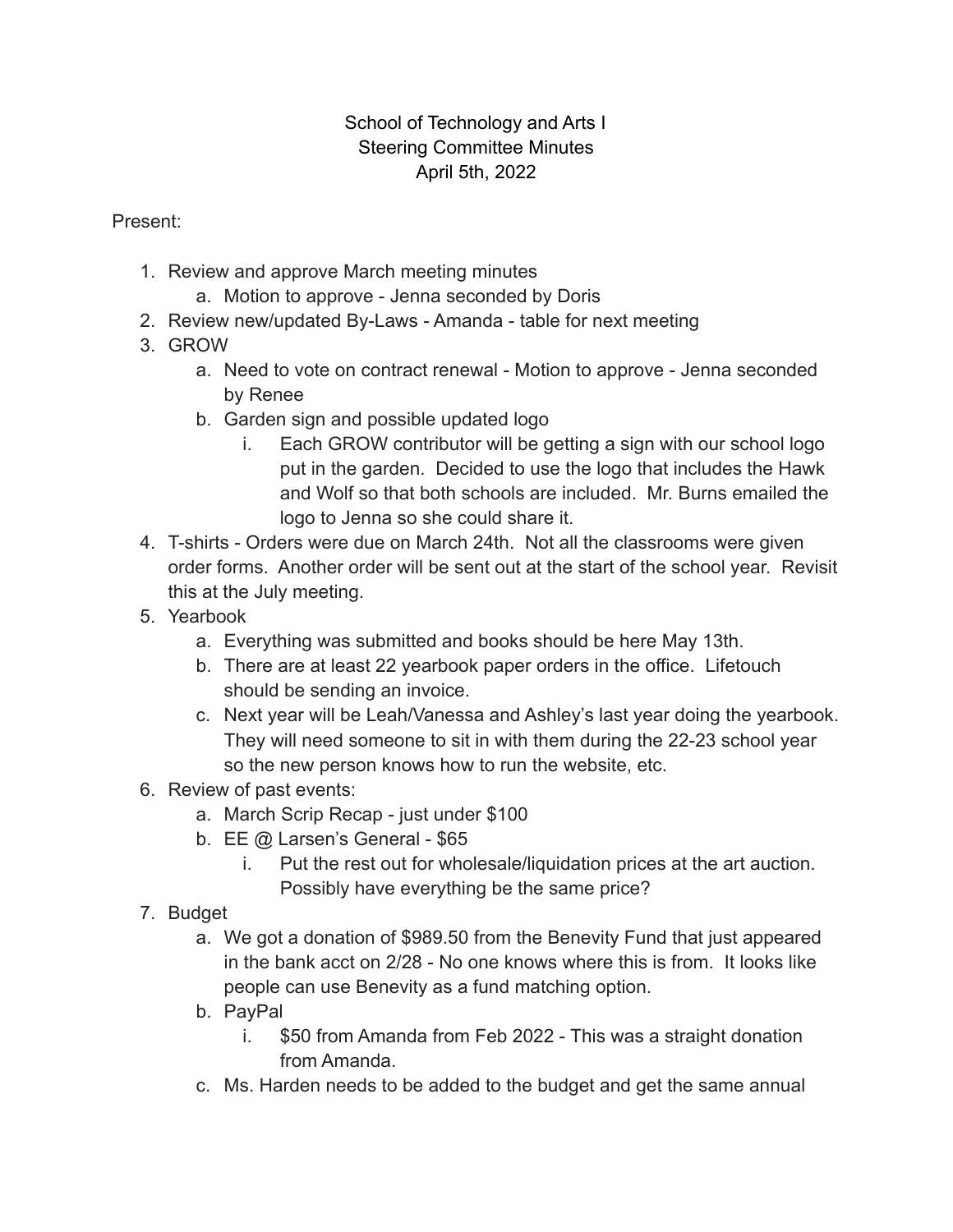## School of Technology and Arts I Steering Committee Minutes April 5th, 2022

Present:

- 1. Review and approve March meeting minutes
	- a. Motion to approve Jenna seconded by Doris
- 2. Review new/updated By-Laws Amanda table for next meeting
- 3. GROW
	- a. Need to vote on contract renewal Motion to approve Jenna seconded by Renee
	- b. Garden sign and possible updated logo
		- i. Each GROW contributor will be getting a sign with our school logo put in the garden. Decided to use the logo that includes the Hawk and Wolf so that both schools are included. Mr. Burns emailed the logo to Jenna so she could share it.
- 4. T-shirts Orders were due on March 24th. Not all the classrooms were given order forms. Another order will be sent out at the start of the school year. Revisit this at the July meeting.
- 5. Yearbook
	- a. Everything was submitted and books should be here May 13th.
	- b. There are at least 22 yearbook paper orders in the office. Lifetouch should be sending an invoice.
	- c. Next year will be Leah/Vanessa and Ashley's last year doing the yearbook. They will need someone to sit in with them during the 22-23 school year so the new person knows how to run the website, etc.
- 6. Review of past events:
	- a. March Scrip Recap just under \$100
	- b. EE @ Larsen's General \$65
		- i. Put the rest out for wholesale/liquidation prices at the art auction. Possibly have everything be the same price?
- 7. Budget
	- a. We got a donation of \$989.50 from the Benevity Fund that just appeared in the bank acct on 2/28 - No one knows where this is from. It looks like people can use Benevity as a fund matching option.
	- b. PayPal
		- i. \$50 from Amanda from Feb 2022 This was a straight donation from Amanda.
	- c. Ms. Harden needs to be added to the budget and get the same annual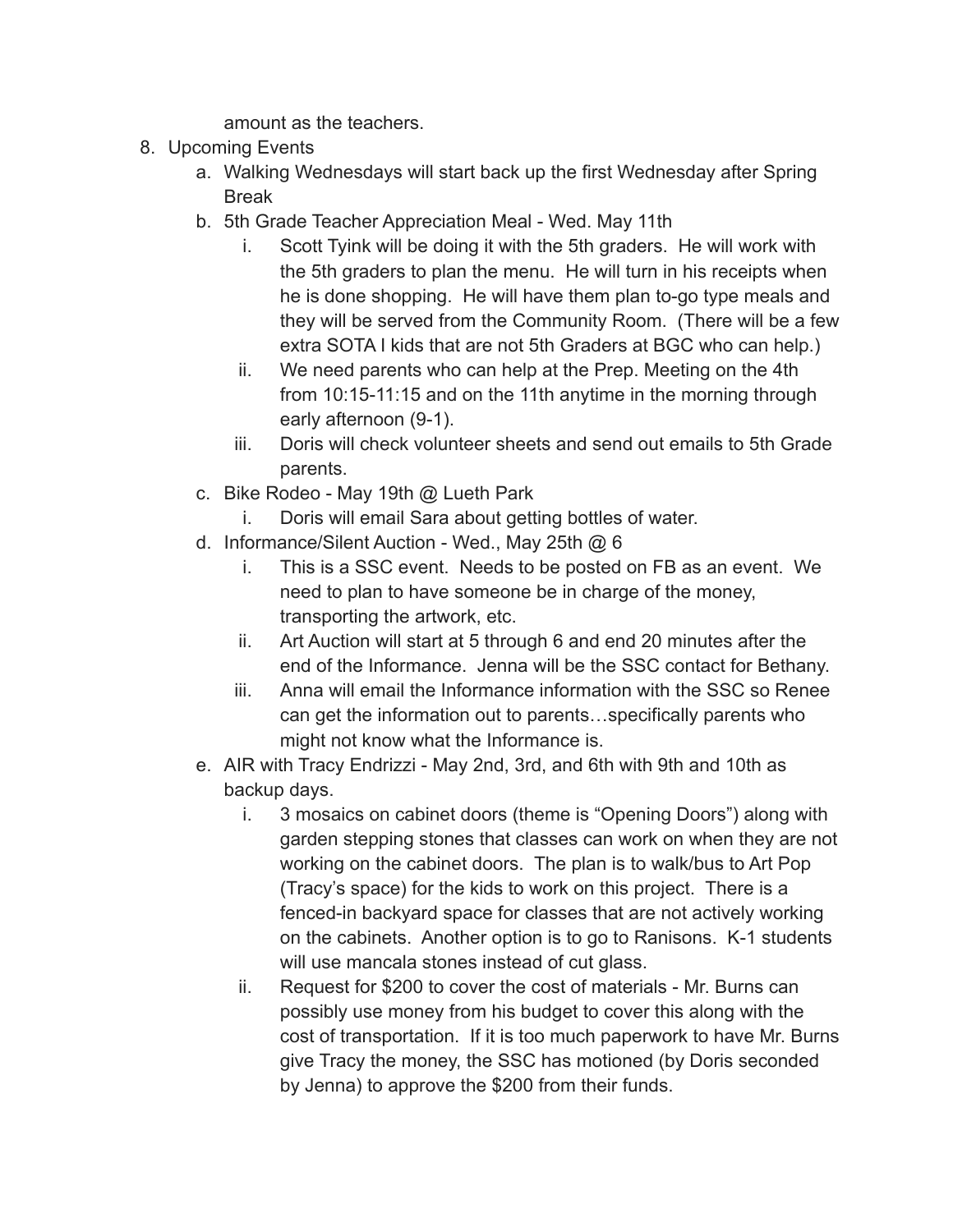amount as the teachers.

- 8. Upcoming Events
	- a. Walking Wednesdays will start back up the first Wednesday after Spring Break
	- b. 5th Grade Teacher Appreciation Meal Wed. May 11th
		- i. Scott Tyink will be doing it with the 5th graders. He will work with the 5th graders to plan the menu. He will turn in his receipts when he is done shopping. He will have them plan to-go type meals and they will be served from the Community Room. (There will be a few extra SOTA I kids that are not 5th Graders at BGC who can help.)
		- ii. We need parents who can help at the Prep. Meeting on the 4th from 10:15-11:15 and on the 11th anytime in the morning through early afternoon (9-1).
		- iii. Doris will check volunteer sheets and send out emails to 5th Grade parents.
	- c. Bike Rodeo May 19th @ Lueth Park
		- i. Doris will email Sara about getting bottles of water.
	- d. Informance/Silent Auction Wed., May 25th @ 6
		- i. This is a SSC event. Needs to be posted on FB as an event. We need to plan to have someone be in charge of the money, transporting the artwork, etc.
		- ii. Art Auction will start at 5 through 6 and end 20 minutes after the end of the Informance. Jenna will be the SSC contact for Bethany.
		- iii. Anna will email the Informance information with the SSC so Renee can get the information out to parents…specifically parents who might not know what the Informance is.
	- e. AIR with Tracy Endrizzi May 2nd, 3rd, and 6th with 9th and 10th as backup days.
		- i. 3 mosaics on cabinet doors (theme is "Opening Doors") along with garden stepping stones that classes can work on when they are not working on the cabinet doors. The plan is to walk/bus to Art Pop (Tracy's space) for the kids to work on this project. There is a fenced-in backyard space for classes that are not actively working on the cabinets. Another option is to go to Ranisons. K-1 students will use mancala stones instead of cut glass.
		- ii. Request for \$200 to cover the cost of materials Mr. Burns can possibly use money from his budget to cover this along with the cost of transportation. If it is too much paperwork to have Mr. Burns give Tracy the money, the SSC has motioned (by Doris seconded by Jenna) to approve the \$200 from their funds.